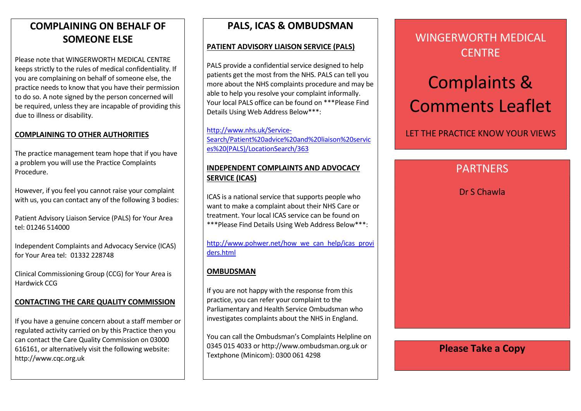## COMPLAINING ON BEHALF OF SOMEONE ELSE

Please note that WINGERWORTH MEDICAL CENTRE keeps strictly to the rules of medical confidentiality. If you are complaining on behalf of someone else, the practice needs to know that you have their permission to do so. A note signed by the person concerned will be required, unless they are incapable of providing this due to illness or disability.

### COMPLAINING TO OTHER AUTHORITIES

The practice management team hope that if you have a problem you will use the Practice Complaints Procedure.

However, if you feel you cannot raise your complaint with us, you can contact any of the following 3 bodies:

Patient Advisory Liaison Service (PALS) for Your Area tel: 01246 514000

Independent Complaints and Advocacy Service (ICAS) for Your Area tel: 01332 228748

Clinical Commissioning Group (CCG) for Your Area is Hardwick CCG

## CONTACTING THE CARE QUALITY COMMISSION

If you have a genuine concern about a staff member or regulated activity carried on by this Practice then you can contact the Care Quality Commission on 03000 616161, or alternatively visit the following website: http://www.cqc.org.uk

## PALS, ICAS & OMBUDSMAN

### PATIENT ADVISORY LIAISON SERVICE (PALS)

PALS provide a confidential service designed to help patients get the most from the NHS. PALS can tell you more about the NHS complaints procedure and may be able to help you resolve your complaint informally. Your local PALS office can be found on \*\*\*Please Find Details Using Web Address Below\*\*\*:

http://www.nhs.uk/Service-Search/Patient%20advice%20and%20liaison%20servic es%20(PALS)/LocationSearch/363

## INDEPENDENT COMPLAINTS AND ADVOCACY SERVICE (ICAS)

ICAS is a national service that supports people who want to make a complaint about their NHS Care or treatment. Your local ICAS service can be found on \*\*\*Please Find Details Using Web Address Below\*\*\*:

### http://www.pohwer.net/how\_we\_can\_help/icas\_provi ders.html

## **OMBUDSMAN**

If you are not happy with the response from this practice, you can refer your complaint to the Parliamentary and Health Service Ombudsman who investigates complaints about the NHS in England.

You can call the Ombudsman's Complaints Helpline on 0345 015 4033 or http://www.ombudsman.org.uk or Textphone (Minicom): 0300 061 4298

## WINGERWORTH MEDICAL **CENTRE**

# Complaints & Comments Leaflet

## LET THE PRACTICE KNOW YOUR VIEWS

## PARTNERS

Dr S Chawla

Please Take a Copy